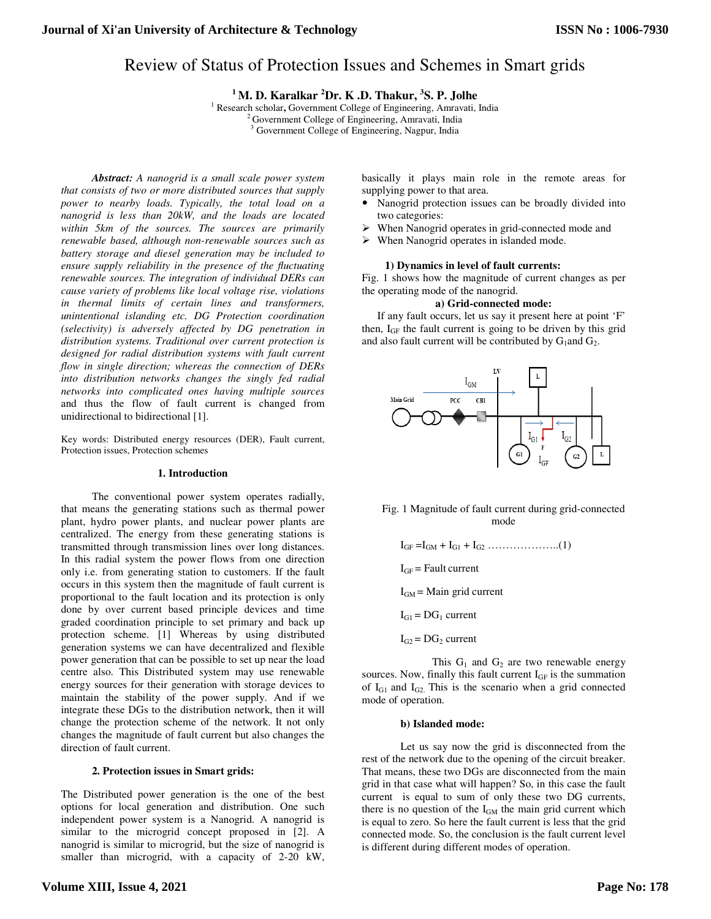# Review of Status of Protection Issues and Schemes in Smart grids

<sup>1</sup> **M. D. Karalkar <sup>2</sup>Dr. K .D. Thakur, <sup>3</sup>S. P. Jolhe** <sup>1</sup> Research scholar, Government College of Engineering, Amravati, India

<sup>2</sup> Government College of Engineering, Amravati, India <sup>3</sup> Government College of Engineering, Nagpur, India

 *Abstract: A nanogrid is a small scale power system that consists of two or more distributed sources that supply power to nearby loads. Typically, the total load on a nanogrid is less than 20kW, and the loads are located within 5km of the sources. The sources are primarily renewable based, although non-renewable sources such as battery storage and diesel generation may be included to ensure supply reliability in the presence of the fluctuating renewable sources. The integration of individual DERs can cause variety of problems like local voltage rise, violations in thermal limits of certain lines and transformers, unintentional islanding etc. DG Protection coordination (selectivity) is adversely affected by DG penetration in distribution systems. Traditional over current protection is designed for radial distribution systems with fault current flow in single direction; whereas the connection of DERs into distribution networks changes the singly fed radial networks into complicated ones having multiple sources* and thus the flow of fault current is changed from unidirectional to bidirectional [1].

Key words: Distributed energy resources (DER), Fault current, Protection issues, Protection schemes

#### **1. Introduction**

 The conventional power system operates radially, that means the generating stations such as thermal power plant, hydro power plants, and nuclear power plants are centralized. The energy from these generating stations is transmitted through transmission lines over long distances. In this radial system the power flows from one direction only i.e. from generating station to customers. If the fault occurs in this system then the magnitude of fault current is proportional to the fault location and its protection is only done by over current based principle devices and time graded coordination principle to set primary and back up protection scheme. [1] Whereas by using distributed generation systems we can have decentralized and flexible power generation that can be possible to set up near the load centre also. This Distributed system may use renewable energy sources for their generation with storage devices to maintain the stability of the power supply. And if we integrate these DGs to the distribution network, then it will change the protection scheme of the network. It not only changes the magnitude of fault current but also changes the direction of fault current.

# **2. Protection issues in Smart grids:**

The Distributed power generation is the one of the best options for local generation and distribution. One such independent power system is a Nanogrid. A nanogrid is similar to the microgrid concept proposed in [2]. A nanogrid is similar to microgrid, but the size of nanogrid is smaller than microgrid, with a capacity of 2-20 kW,

basically it plays main role in the remote areas for supplying power to that area.

- Nanogrid protection issues can be broadly divided into two categories:
- When Nanogrid operates in grid-connected mode and
- When Nanogrid operates in islanded mode.

# **1) Dynamics in level of fault currents:**

Fig. 1 shows how the magnitude of current changes as per the operating mode of the nanogrid.

#### **a) Grid-connected mode:**

If any fault occurs, let us say it present here at point 'F' then,  $I_{GF}$  the fault current is going to be driven by this grid and also fault current will be contributed by  $G_1$  and  $G_2$ .



# Fig. 1 Magnitude of fault current during grid-connected mode

- IGF =IGM + IG1 + IG2 ………………..(1)
- $I<sub>GF</sub>$  = Fault current
- $I<sub>GM</sub>$  = Main grid current
- $I_{G1} = DG_1$  current
- $I_{G2} = DG_2$  current

This  $G_1$  and  $G_2$  are two renewable energy sources. Now, finally this fault current  $I_{GF}$  is the summation of  $I<sub>G1</sub>$  and  $I<sub>G2</sub>$ . This is the scenario when a grid connected mode of operation.

#### **b) Islanded mode:**

Let us say now the grid is disconnected from the rest of the network due to the opening of the circuit breaker. That means, these two DGs are disconnected from the main grid in that case what will happen? So, in this case the fault current is equal to sum of only these two DG currents, there is no question of the  $I_{GM}$  the main grid current which is equal to zero. So here the fault current is less that the grid connected mode. So, the conclusion is the fault current level is different during different modes of operation.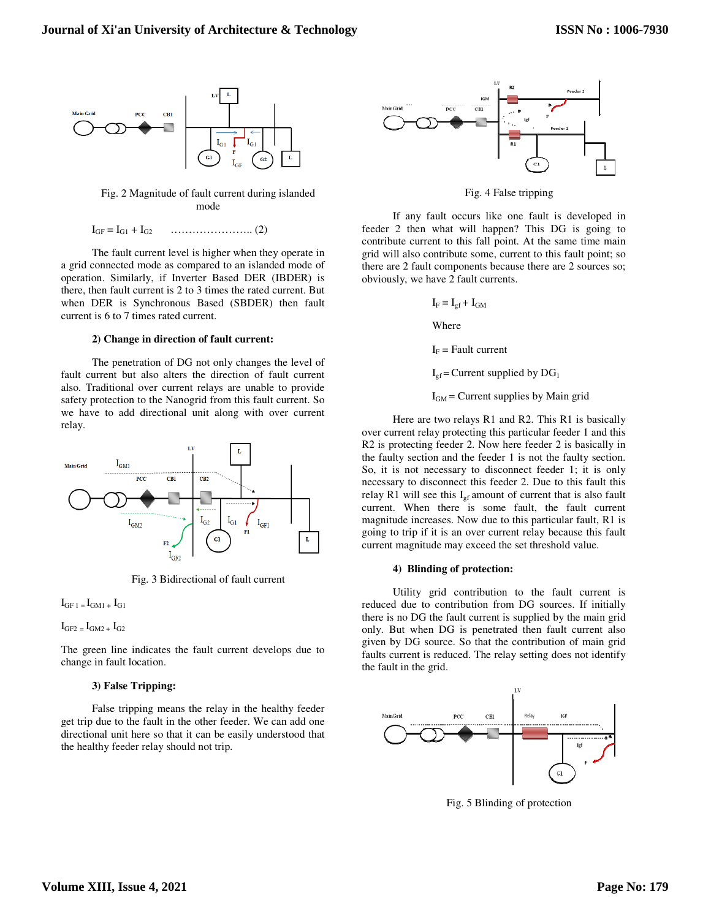

Fig. 2 Magnitude of fault current during islanded mode

IGF = IG1 + IG2 ………………….. (2)

The fault current level is higher when they operate in a grid connected mode as compared to an islanded mode of operation. Similarly, if Inverter Based DER (IBDER) is there, then fault current is 2 to 3 times the rated current. But when DER is Synchronous Based (SBDER) then fault current is 6 to 7 times rated current.

#### **2) Change in direction of fault current:**

 The penetration of DG not only changes the level of fault current but also alters the direction of fault current also. Traditional over current relays are unable to provide safety protection to the Nanogrid from this fault current. So we have to add directional unit along with over current relay.



Fig. 3 Bidirectional of fault current

 $I<sub>GF 1</sub> = I<sub>GM1</sub> + I<sub>G1</sub>$ 

 $I<sub>GF2</sub> = I<sub>GM2</sub> + I<sub>G2</sub>$ 

The green line indicates the fault current develops due to change in fault location.

#### **3) False Tripping:**

 False tripping means the relay in the healthy feeder get trip due to the fault in the other feeder. We can add one directional unit here so that it can be easily understood that the healthy feeder relay should not trip.



Fig. 4 False tripping

 If any fault occurs like one fault is developed in feeder 2 then what will happen? This DG is going to contribute current to this fall point. At the same time main grid will also contribute some, current to this fault point; so there are 2 fault components because there are 2 sources so; obviously, we have 2 fault currents.

$$
\mathbf{I}_{\mathrm{F}} = \mathbf{I}_{\mathrm{gf}} + \mathbf{I}_{\mathrm{GM}}
$$

Where

 $I_F$  = Fault current

 $I_{\text{gf}}$  = Current supplied by DG<sub>1</sub>

 $I_{GM}$  = Current supplies by Main grid

 Here are two relays R1 and R2. This R1 is basically over current relay protecting this particular feeder 1 and this R2 is protecting feeder 2. Now here feeder 2 is basically in the faulty section and the feeder 1 is not the faulty section. So, it is not necessary to disconnect feeder 1; it is only necessary to disconnect this feeder 2. Due to this fault this relay R1 will see this  $I_{gf}$  amount of current that is also fault current. When there is some fault, the fault current magnitude increases. Now due to this particular fault, R1 is going to trip if it is an over current relay because this fault current magnitude may exceed the set threshold value.

#### **4) Blinding of protection:**

 Utility grid contribution to the fault current is reduced due to contribution from DG sources. If initially there is no DG the fault current is supplied by the main grid only. But when DG is penetrated then fault current also given by DG source. So that the contribution of main grid faults current is reduced. The relay setting does not identify the fault in the grid.



Fig. 5 Blinding of protection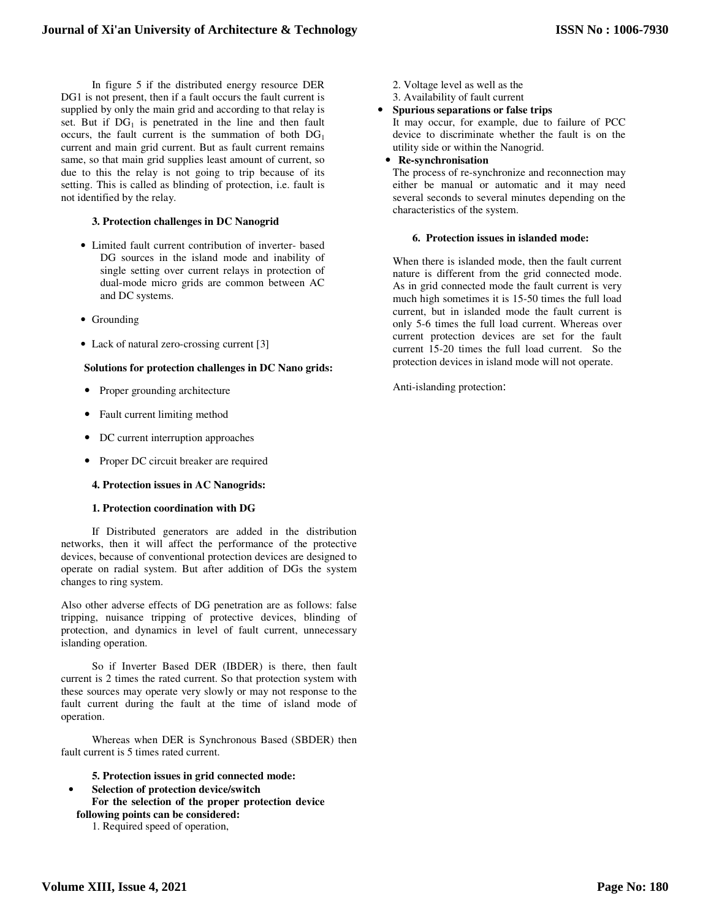In figure 5 if the distributed energy resource DER DG1 is not present, then if a fault occurs the fault current is supplied by only the main grid and according to that relay is set. But if  $DG_1$  is penetrated in the line and then fault occurs, the fault current is the summation of both  $DG<sub>1</sub>$ current and main grid current. But as fault current remains same, so that main grid supplies least amount of current, so due to this the relay is not going to trip because of its setting. This is called as blinding of protection, i.e. fault is not identified by the relay.

# **3. Protection challenges in DC Nanogrid**

- Limited fault current contribution of inverter- based DG sources in the island mode and inability of single setting over current relays in protection of dual-mode micro grids are common between AC and DC systems.
- Grounding
- Lack of natural zero-crossing current [3]

# **Solutions for protection challenges in DC Nano grids:**

- Proper grounding architecture
- Fault current limiting method
- DC current interruption approaches
- Proper DC circuit breaker are required
- **4. Protection issues in AC Nanogrids:**

#### **1. Protection coordination with DG**

If Distributed generators are added in the distribution networks, then it will affect the performance of the protective devices, because of conventional protection devices are designed to operate on radial system. But after addition of DGs the system changes to ring system.

Also other adverse effects of DG penetration are as follows: false tripping, nuisance tripping of protective devices, blinding of protection, and dynamics in level of fault current, unnecessary islanding operation.

 So if Inverter Based DER (IBDER) is there, then fault current is 2 times the rated current. So that protection system with these sources may operate very slowly or may not response to the fault current during the fault at the time of island mode of operation.

 Whereas when DER is Synchronous Based (SBDER) then fault current is 5 times rated current.

#### **5. Protection issues in grid connected mode:**

• **Selection of protection device/switch For the selection of the proper protection device following points can be considered:**  1. Required speed of operation,

- 2. Voltage level as well as the
- 3. Availability of fault current
- **Spurious separations or false trips**

It may occur, for example, due to failure of PCC device to discriminate whether the fault is on the utility side or within the Nanogrid.

**Re-synchronisation** 

The process of re-synchronize and reconnection may either be manual or automatic and it may need several seconds to several minutes depending on the characteristics of the system.

#### **6. Protection issues in islanded mode:**

When there is islanded mode, then the fault current nature is different from the grid connected mode. As in grid connected mode the fault current is very much high sometimes it is 15-50 times the full load current, but in islanded mode the fault current is only 5-6 times the full load current. Whereas over current protection devices are set for the fault current 15-20 times the full load current. So the protection devices in island mode will not operate.

Anti-islanding protection: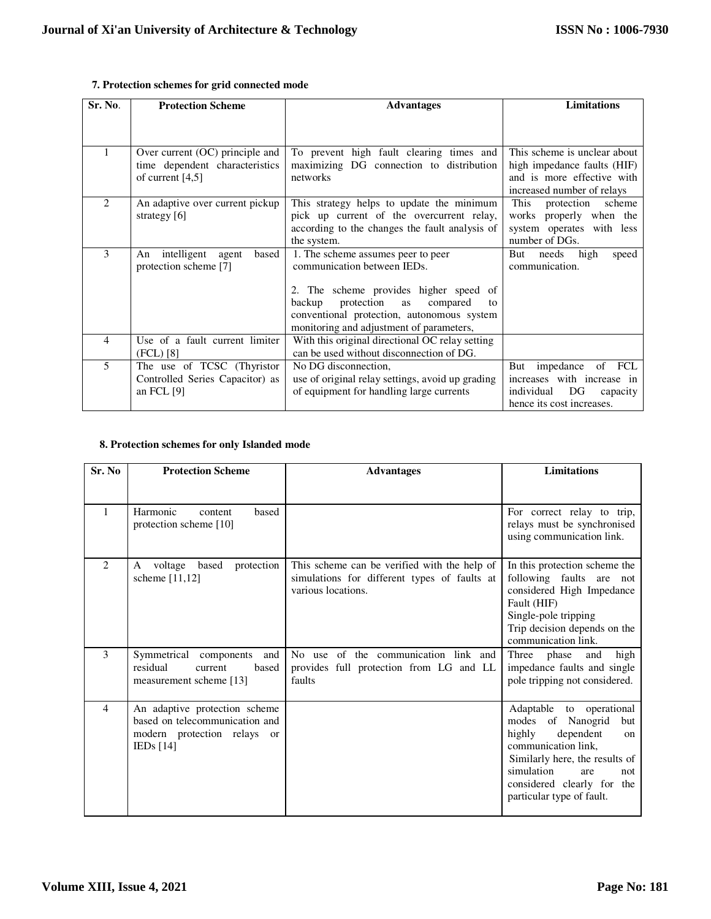# **7. Protection schemes for grid connected mode**

| Sr. No.        | <b>Protection Scheme</b>                                  | <b>Advantages</b>                                                 | <b>Limitations</b>                                        |
|----------------|-----------------------------------------------------------|-------------------------------------------------------------------|-----------------------------------------------------------|
|                |                                                           |                                                                   |                                                           |
|                | Over current (OC) principle and                           | To prevent high fault clearing times and                          | This scheme is unclear about                              |
|                | time dependent characteristics<br>of current $[4,5]$      | maximizing DG connection to distribution<br>networks              | high impedance faults (HIF)<br>and is more effective with |
|                |                                                           |                                                                   | increased number of relays                                |
| $\mathfrak{D}$ | An adaptive over current pickup                           | This strategy helps to update the minimum                         | This<br>protection<br>scheme                              |
|                | strategy $[6]$                                            | pick up current of the overcurrent relay,                         | properly when the<br>works                                |
|                |                                                           | according to the changes the fault analysis of                    | system operates with less                                 |
|                |                                                           | the system.                                                       | number of DGs.                                            |
| 3              | intelligent agent<br>based<br>An<br>protection scheme [7] | 1. The scheme assumes peer to peer<br>communication between IEDs. | But<br>needs<br>high<br>speed<br>communication.           |
|                |                                                           |                                                                   |                                                           |
|                |                                                           | 2. The scheme provides higher speed of                            |                                                           |
|                |                                                           | protection<br>backup<br>as<br>compared<br>to                      |                                                           |
|                |                                                           | conventional protection, autonomous system                        |                                                           |
|                |                                                           | monitoring and adjustment of parameters,                          |                                                           |
| 4              | Use of a fault current limiter                            | With this original directional OC relay setting                   |                                                           |
|                | (FCL) [8]                                                 | can be used without disconnection of DG.                          |                                                           |
| 5              | The use of TCSC (Thyristor                                | No DG disconnection,                                              | impedance<br>of FCL<br>But                                |
|                | Controlled Series Capacitor) as                           | use of original relay settings, avoid up grading                  | increases with increase in                                |
|                | an FCL $[9]$                                              | of equipment for handling large currents                          | individual<br>DG<br>capacity                              |
|                |                                                           |                                                                   | hence its cost increases.                                 |

# **8. Protection schemes for only Islanded mode**

| Sr. No         | <b>Protection Scheme</b>                                                                                      | <b>Advantages</b>                                                                                                  | <b>Limitations</b>                                                                                                                                                                                                                   |
|----------------|---------------------------------------------------------------------------------------------------------------|--------------------------------------------------------------------------------------------------------------------|--------------------------------------------------------------------------------------------------------------------------------------------------------------------------------------------------------------------------------------|
|                |                                                                                                               |                                                                                                                    |                                                                                                                                                                                                                                      |
| 1              | Harmonic<br>based<br>content<br>protection scheme [10]                                                        |                                                                                                                    | For correct relay to trip,<br>relays must be synchronised<br>using communication link.                                                                                                                                               |
| $\mathfrak{D}$ | based<br>protection<br>voltage<br>A<br>scheme $[11,12]$                                                       | This scheme can be verified with the help of<br>simulations for different types of faults at<br>various locations. | In this protection scheme the<br>following faults are not<br>considered High Impedance<br>Fault (HIF)<br>Single-pole tripping<br>Trip decision depends on the<br>communication link.                                                 |
| $\mathbf{3}$   | Symmetrical components<br>and<br>residual<br>current<br>based<br>measurement scheme [13]                      | No use of the communication link and<br>provides full protection from LG and LL<br>faults                          | Three<br>phase<br>high<br>and<br>impedance faults and single<br>pole tripping not considered.                                                                                                                                        |
| $\overline{4}$ | An adaptive protection scheme<br>based on telecommunication and<br>modern protection relays or<br>IEDs $[14]$ |                                                                                                                    | Adaptable to operational<br>modes of Nanogrid<br>but<br>dependent<br>highly<br>on<br>communication link,<br>Similarly here, the results of<br>simulation<br>are<br>not<br>considered clearly for<br>the<br>particular type of fault. |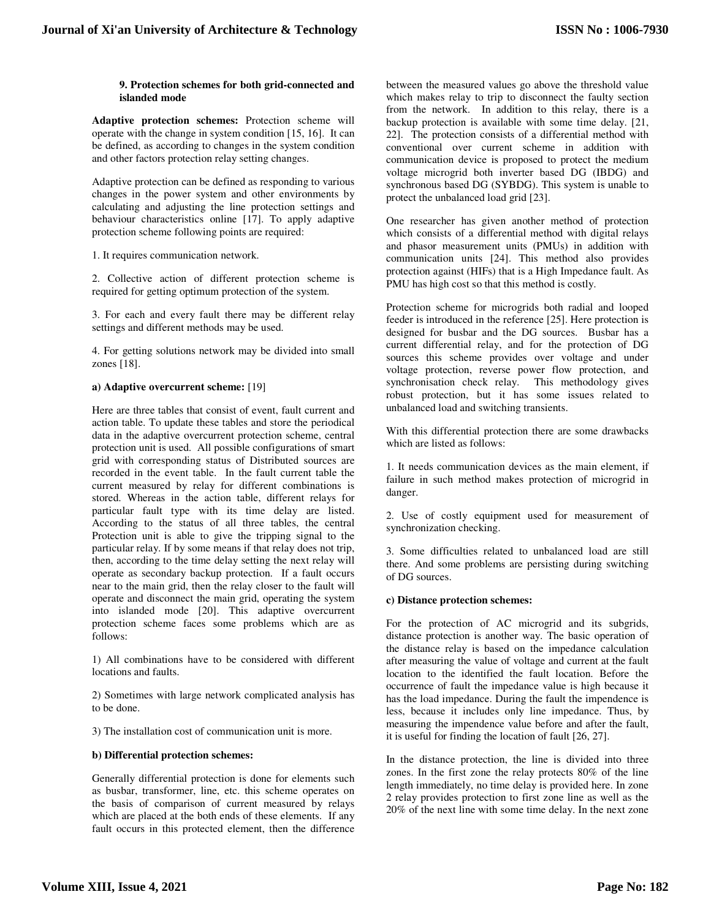# **9. Protection schemes for both grid-connected and islanded mode**

**Adaptive protection schemes:** Protection scheme will operate with the change in system condition [15, 16]. It can be defined, as according to changes in the system condition and other factors protection relay setting changes.

Adaptive protection can be defined as responding to various changes in the power system and other environments by calculating and adjusting the line protection settings and behaviour characteristics online [17]. To apply adaptive protection scheme following points are required:

1. It requires communication network.

2. Collective action of different protection scheme is required for getting optimum protection of the system.

3. For each and every fault there may be different relay settings and different methods may be used.

4. For getting solutions network may be divided into small zones [18].

# **a) Adaptive overcurrent scheme:** [19]

Here are three tables that consist of event, fault current and action table. To update these tables and store the periodical data in the adaptive overcurrent protection scheme, central protection unit is used. All possible configurations of smart grid with corresponding status of Distributed sources are recorded in the event table. In the fault current table the current measured by relay for different combinations is stored. Whereas in the action table, different relays for particular fault type with its time delay are listed. According to the status of all three tables, the central Protection unit is able to give the tripping signal to the particular relay. If by some means if that relay does not trip, then, according to the time delay setting the next relay will operate as secondary backup protection. If a fault occurs near to the main grid, then the relay closer to the fault will operate and disconnect the main grid, operating the system into islanded mode [20]. This adaptive overcurrent protection scheme faces some problems which are as follows:

1) All combinations have to be considered with different locations and faults.

2) Sometimes with large network complicated analysis has to be done.

3) The installation cost of communication unit is more.

#### **b) Differential protection schemes:**

Generally differential protection is done for elements such as busbar, transformer, line, etc. this scheme operates on the basis of comparison of current measured by relays which are placed at the both ends of these elements. If any fault occurs in this protected element, then the difference

between the measured values go above the threshold value which makes relay to trip to disconnect the faulty section from the network. In addition to this relay, there is a backup protection is available with some time delay. [21, 22]. The protection consists of a differential method with conventional over current scheme in addition with communication device is proposed to protect the medium voltage microgrid both inverter based DG (IBDG) and synchronous based DG (SYBDG). This system is unable to protect the unbalanced load grid [23].

One researcher has given another method of protection which consists of a differential method with digital relays and phasor measurement units (PMUs) in addition with communication units [24]. This method also provides protection against (HIFs) that is a High Impedance fault. As PMU has high cost so that this method is costly.

Protection scheme for microgrids both radial and looped feeder is introduced in the reference [25]. Here protection is designed for busbar and the DG sources. Busbar has a current differential relay, and for the protection of DG sources this scheme provides over voltage and under voltage protection, reverse power flow protection, and synchronisation check relay. This methodology gives robust protection, but it has some issues related to unbalanced load and switching transients.

With this differential protection there are some drawbacks which are listed as follows:

1. It needs communication devices as the main element, if failure in such method makes protection of microgrid in danger.

2. Use of costly equipment used for measurement of synchronization checking.

3. Some difficulties related to unbalanced load are still there. And some problems are persisting during switching of DG sources.

# **c) Distance protection schemes:**

For the protection of AC microgrid and its subgrids, distance protection is another way. The basic operation of the distance relay is based on the impedance calculation after measuring the value of voltage and current at the fault location to the identified the fault location. Before the occurrence of fault the impedance value is high because it has the load impedance. During the fault the impendence is less, because it includes only line impedance. Thus, by measuring the impendence value before and after the fault, it is useful for finding the location of fault [26, 27].

In the distance protection, the line is divided into three zones. In the first zone the relay protects 80% of the line length immediately, no time delay is provided here. In zone 2 relay provides protection to first zone line as well as the 20% of the next line with some time delay. In the next zone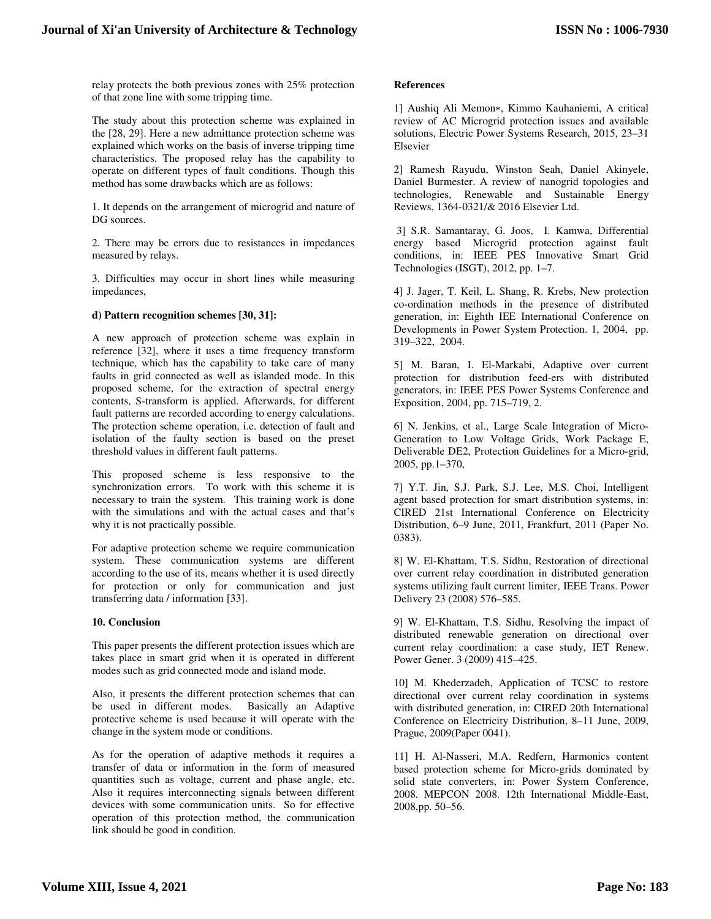relay protects the both previous zones with 25% protection of that zone line with some tripping time.

The study about this protection scheme was explained in the [28, 29]. Here a new admittance protection scheme was explained which works on the basis of inverse tripping time characteristics. The proposed relay has the capability to operate on different types of fault conditions. Though this method has some drawbacks which are as follows:

1. It depends on the arrangement of microgrid and nature of DG sources.

2. There may be errors due to resistances in impedances measured by relays.

3. Difficulties may occur in short lines while measuring impedances,

# **d) Pattern recognition schemes [30, 31]:**

A new approach of protection scheme was explain in reference [32], where it uses a time frequency transform technique, which has the capability to take care of many faults in grid connected as well as islanded mode. In this proposed scheme, for the extraction of spectral energy contents, S-transform is applied. Afterwards, for different fault patterns are recorded according to energy calculations. The protection scheme operation, i.e. detection of fault and isolation of the faulty section is based on the preset threshold values in different fault patterns.

This proposed scheme is less responsive to the synchronization errors. To work with this scheme it is necessary to train the system. This training work is done with the simulations and with the actual cases and that's why it is not practically possible.

For adaptive protection scheme we require communication system. These communication systems are different according to the use of its, means whether it is used directly for protection or only for communication and just transferring data / information [33].

#### **10. Conclusion**

This paper presents the different protection issues which are takes place in smart grid when it is operated in different modes such as grid connected mode and island mode.

Also, it presents the different protection schemes that can be used in different modes. Basically an Adaptive protective scheme is used because it will operate with the change in the system mode or conditions.

As for the operation of adaptive methods it requires a transfer of data or information in the form of measured quantities such as voltage, current and phase angle, etc. Also it requires interconnecting signals between different devices with some communication units. So for effective operation of this protection method, the communication link should be good in condition.

# **References**

1] Aushiq Ali Memon∗, Kimmo Kauhaniemi, A critical review of AC Microgrid protection issues and available solutions, Electric Power Systems Research, 2015, 23–31 Elsevier

2] Ramesh Rayudu, Winston Seah, Daniel Akinyele, Daniel Burmester. A review of nanogrid topologies and technologies, Renewable and Sustainable Energy Reviews, 1364-0321/& 2016 Elsevier Ltd.

 3] S.R. Samantaray, G. Joos, I. Kamwa, Differential energy based Microgrid protection against fault conditions, in: IEEE PES Innovative Smart Grid Technologies (ISGT), 2012, pp. 1–7.

4] J. Jager, T. Keil, L. Shang, R. Krebs, New protection co-ordination methods in the presence of distributed generation, in: Eighth IEE International Conference on Developments in Power System Protection. 1, 2004, pp. 319–322, 2004.

5] M. Baran, I. El-Markabi, Adaptive over current protection for distribution feed-ers with distributed generators, in: IEEE PES Power Systems Conference and Exposition, 2004, pp. 715–719, 2.

6] N. Jenkins, et al., Large Scale Integration of Micro-Generation to Low Voltage Grids, Work Package E, Deliverable DE2, Protection Guidelines for a Micro-grid, 2005, pp.1–370,

7] Y.T. Jin, S.J. Park, S.J. Lee, M.S. Choi, Intelligent agent based protection for smart distribution systems, in: CIRED 21st International Conference on Electricity Distribution, 6–9 June, 2011, Frankfurt, 2011 (Paper No. 0383).

8] W. El-Khattam, T.S. Sidhu, Restoration of directional over current relay coordination in distributed generation systems utilizing fault current limiter, IEEE Trans. Power Delivery 23 (2008) 576–585.

9] W. El-Khattam, T.S. Sidhu, Resolving the impact of distributed renewable generation on directional over current relay coordination: a case study, IET Renew. Power Gener. 3 (2009) 415–425.

10] M. Khederzadeh, Application of TCSC to restore directional over current relay coordination in systems with distributed generation, in: CIRED 20th International Conference on Electricity Distribution, 8–11 June, 2009, Prague, 2009(Paper 0041).

11] H. Al-Nasseri, M.A. Redfern, Harmonics content based protection scheme for Micro-grids dominated by solid state converters, in: Power System Conference, 2008. MEPCON 2008. 12th International Middle-East, 2008,pp. 50–56.